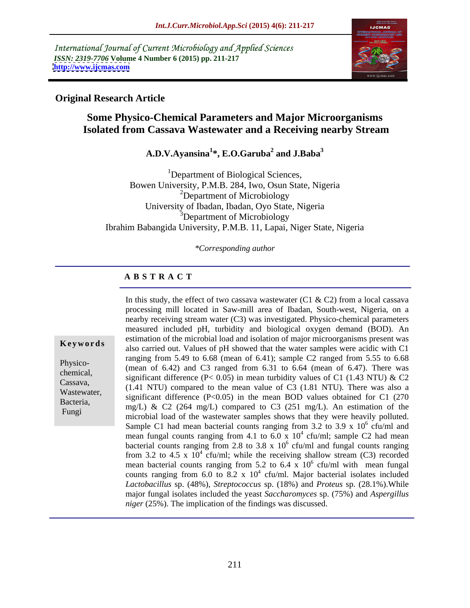International Journal of Current Microbiology and Applied Sciences *ISSN: 2319-7706* **Volume 4 Number 6 (2015) pp. 211-217 <http://www.ijcmas.com>**



### **Original Research Article**

Fungi

# **Some Physico-Chemical Parameters and Major Microorganisms Isolated from Cassava Wastewater and a Receiving nearby Stream**

#### **A.D.V.Ayansina<sup>1</sup> \*, E.O.Garuba<sup>2</sup> and J.Baba<sup>3</sup>**

<sup>1</sup>Department of Biological Sciences, Bowen University, P.M.B. 284, Iwo, Osun State, Nigeria  $2D$ epartment of Microbiology University of Ibadan, Ibadan, Oyo State, Nigeria <sup>3</sup>Department of Microbiology Ibrahim Babangida University, P.M.B. 11, Lapai, Niger State, Nigeria

*\*Corresponding author*

### **A B S T R A C T**

#### processing mill located in Saw-mill area of Ibadan, South-west, Nigeria, on a nearby receiving stream water (C3) was investigated. Physico-chemical parameters measured included pH, turbidity and biological oxygen demand (BOD). An estimation of the microbial load and isolation of major microorganisms present was also carried out. Values of pH showed that the water samples were acidic with C1 **Ke ywo rds** ranging from  $5.49$  to  $6.68$  (mean of  $6.41$ ); sample C2 ranged from  $5.55$  to  $6.68$ Physico-<br>
(mean of 6.42) and C3 ranged from 6.31 to 6.64 (mean of 6.47). There was chemical, significant difference (P< 0.05) in mean turbidity values of C1 (1.43 NTU) & C2 Cassava, (1.41 NTU) compared to the mean value of C3 (1.81 NTU). There was also a Wastewater,<br>
significant difference  $(P<0.05)$  in the mean BOD values obtained for C1 (270 Bacteria, mg/L) & C2 (264 mg/L) compared to C3 (251 mg/L). An estimation of the microbial load of the wastewater samples shows that they were heavily polluted. Sample C1 had mean bacterial counts ranging from 3.2 to 3.9 x  $10^6$  cfu/ml and  $6 \text{ cm/m1}$  and cfu/ml and mean fungal counts ranging from 4.1 to 6.0 x  $10^4$  cfu/ml; sample C2 had mean bacterial counts ranging from 2.8 to 3.8 x  $10^6$  cfu/ml and fungal counts ranging from 3.2 to 4.5 x  $10^4$  cfu/ml; while the receiving shallow stream (C3) recorded mean bacterial counts ranging from 5.2 to 6.4 x  $10^6$  cfu/ml with mean fungal cfu/ml with mean fungal counts ranging from 6.0 to  $8.2 \times 10^4$  cfu/ml. Major bacterial isolates included *Lactobacillus* sp. (48%), *Streptococcus* sp. (18%) and *Proteus* sp. (28.1%).While major fungal isolates included the yeast *Saccharomyces* sp. (75%) and *Aspergillus niger* (25%). The implication of the findings was discussed.

In this study, the effect of two cassava wastewater (C1  $\&$  C2) from a local cassava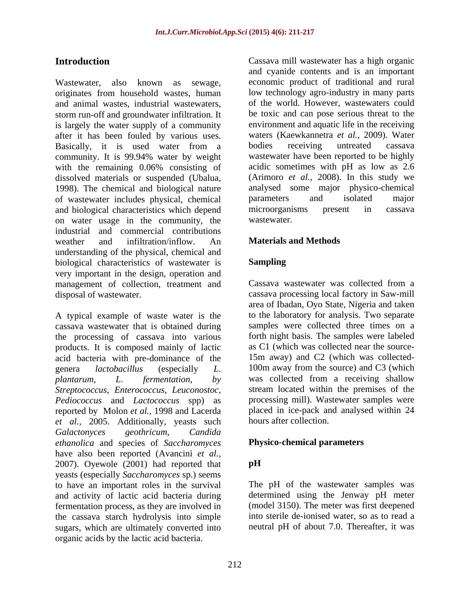originates from household wastes, human and animal wastes, industrial wastewaters, storm run-off and groundwater infiltration. It be toxic and can pose serious threat to the is largely the water supply of a community after it has been fouled by various uses. waters (Kaewkannet<br>Basically it is used water from a bodies receiving Basically, it is used water from a bodies receiving untreated cassava community. It is 99.94% water by weight with the remaining 0.06% consisting of dissolved materials or suspended (Ubalua, (Arimoro *et al.,* 2008). In this study we 1998). The chemical and biological nature analysed some major physics of wastewater includes physical chemical parameters and isolated of wastewater includes physical, chemical parameters and isolated major<br>and biological characteristics which depend microorganisms present in cassava and biological characteristics which depend<br>on water usage in the community the wastewater. on water usage in the community, the industrial and commercial contributions weather and infiltration/inflow. An **Materials and Methods** understanding of the physical, chemical and biological characteristics of wastewater is **Sampling** very important in the design, operation and<br>management of collection treatment and<br>Cassava wastewater was collected from a management of collection, treatment and

A typical example of waste water is the cassava wastewater that is obtained during the processing of cassava into various products. It is composed mainly of lactic acid bacteria with pre-dominance of the genera *lactobacillus* (especially *L*. 100m away from the source) and C3 (which *plantarum, L*. *fermentation, by* was collected from a receiving shallow *Streptococcus, Enterococcus, Leuconostoc, Pediococcus* and *Lactococcus* spp) as reported by Molon *et al.,* 1998 and Lacerda *et al.,* 2005. Additionally, yeasts such *Galactonyces geothricum*, *Candida ethanolica* and species of *Saccharomyces* have also been reported (Avancini *et al.,* 2007). Oyewole (2001) had reported that pH yeasts (especially *Saccharomyces* sp.) seems to have an important roles in the survival and activity of lactic acid bacteria during fermentation process, as they are involved in the cassava starch hydrolysis into simple sugars, which are ultimately converted into organic acids by the lactic acid bacteria.

**Introduction** Cassava mill wastewater has a high organic Wastewater, also known as sewage, economic product of traditional and rural and cyanide contents and is an important low technology agro-industry in many parts of the world. However, wastewaters could environment and aquatic life in the receiving waters (Kaewkannetra *et al.*, 2009). Water bodies receiving untreated cassava wastewater have been reported to be highly acidic sometimes with pH as low as 2.6 analysed some major physico-chemical parameters and isolated major microorganisms present in cassava wastewater.

### **Materials and Methods**

### **Sampling**

disposal of wastewater. cassava processing local factory in Saw-mill Cassava wastewater was collected from a area of Ibadan, Oyo State, Nigeria and taken to the laboratory for analysis. Two separate samples were collected three times on a forth night basis. The samples were labeled as C1 (which was collected near the source- 15m away) and C2 (which was collected stream located within the premises of the processing mill). Wastewater samples were placed in ice-pack and analysed within 24 hours after collection.

### **Physico-chemical parameters**

### **pH**

The pH of the wastewater samples was determined using the Jenway pH meter (model 3150). The meter was first deepened into sterile de-ionised water, so as to read a neutral pH of about 7.0. Thereafter, it was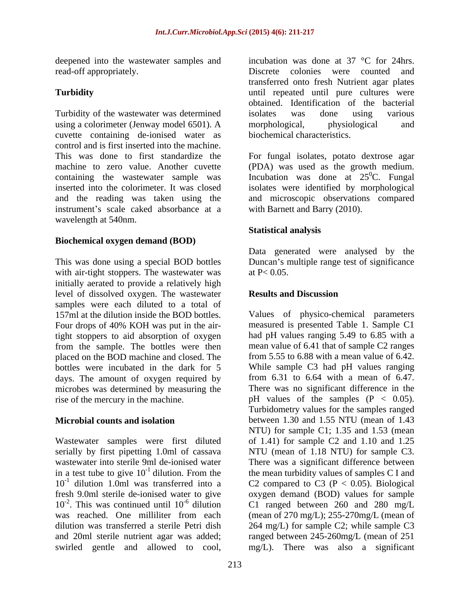deepened into the wastewater samples and

Turbidity of the wastewater was determined using a colorimeter (Jenway model 6501). A morphological, physiological and cuvette containing de-ionised water as control and is first inserted into the machine. This was done to first standardize the For fungal isolates, potato dextrose agar machine to zero value. Another cuvette (PDA) was used as the growth medium. containing the wastewater sample was inserted into the colorimeter. It was closed isolates were identified by morphological and the reading was taken using the and microscopic observations compared instrument's scale caked absorbance at a wavelength at 540nm.

## **Biochemical oxygen demand (BOD)**

This was done using a special BOD bottles Duncan's multiple range test of significance with air-tight stoppers. The was tewater was  $at P < 0.05$ . initially aerated to provide a relatively high level of dissolved oxygen. The wastewater samples were each diluted to a total of 157ml at the dilution inside the BOD bottles. Four drops of 40% KOH was put in the air-measured is presented Table 1. Sample C1 tight stoppers to aid absorption of oxygen from the sample. The bottles were then placed on the BOD machine and closed. The bottles were incubated in the dark for 5 While sample C3 had pH values ranging days. The amount of oxygen required by microbes was determined by measuring the

Wastewater samples were first diluted serially by first pipetting 1.0ml of cassava<br>wastewater into sterile 9ml de-ionised water wastewater into sterile 9ml de-ionised water There was a significant difference between in a test tube to give  $10^{-1}$  dilution. From the the mean turbidity values of samples C I and  $10^{-1}$  dilution 1.0ml was transferred into a C2 compared to C3 (P < 0.05). Biological fresh 9.0ml sterile de-ionised water to give oxygen demand (BOD) values for sample  $10^{-2}$ . This was continued until  $10^{-6}$  dilution<br>was reached. One milliliter from each was reached. One milliliter from each (mean of 270 mg/L); 255-270mg/L (mean of dilution was transferred a sterile Petri dish 264 mg/L) for sample C2; while sample C3 and 20ml sterile nutrient agar was added; ranged between 245-260mg/L (mean of 251 swirled gentle and allowed to cool,

read-off appropriately. Discrete colonies were counted and **Turbidity Turbidity Example 2018 until repeated until pure cultures were** incubation was done at 37 °C for 24hrs. transferred onto fresh Nutrient agar plates obtained. Identification of the bacterial isolates was done using various morphological, physiological and biochemical characteristics.

> Incubation was done at  $25^{\circ}$ C. Fungal  ${}^{0}C.$  Fungal with Barnett and Barry (2010).

## **Statistical analysis**

Data generated were analysed by the at  $P < 0.05$ .

### **Results and Discussion**

rise of the mercury in the machine.  $pH$  values of the samples  $(P < 0.05)$ . **Microbial counts and isolation** between 1.30 and 1.55 NTU (mean of 1.43 This was continued until  $10^{-6}$  dilution C1 ranged between 260 and 280 mg/L Values of physico-chemical parameters had pH values ranging 5.49 to 6.85 with a mean value of 6.41 that of sample C2 ranges from 5.55 to 6.88 with a mean value of 6.42. from 6.31 to 6.64 with a mean of 6.47. There was no significant difference in the Turbidometry values for the samples ranged NTU) for sample C1; 1.35 and 1.53 (mean of 1.41) for sample C2 and 1.10 and 1.25 NTU (mean of 1.18 NTU) for sample C3. mg/L). There was also a significant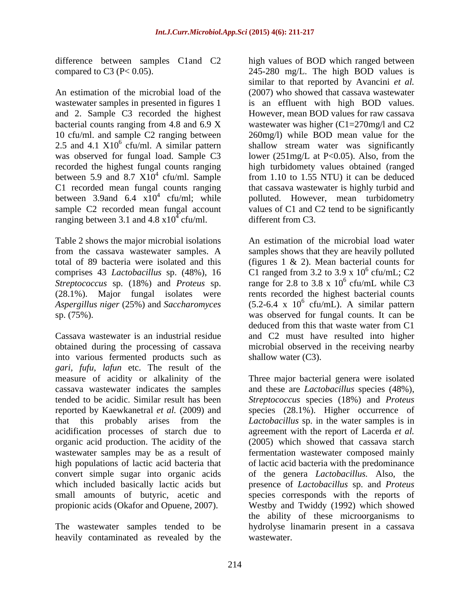wastewater samples in presented in figures 1 2.5 and 4.1  $X10^6$  cfu/ml. A similar pattern between 5.9 and 8.7  $X10<sup>4</sup>$  cfu/ml. Sample between 3.9and  $6.4 \times 10^4$  cfu/ml; while<br>sample C2 recorded mean fungal account ranging between 3.1 and 4.8  $x10^4$  cfu/ml.

Table 2 shows the major microbial isolations (28.1%). Major fungal isolates were

Cassava wastewater is an industrial residue and C2 must have resulted into higher obtained during the processing of cassava microbial observed in the receiving nearby into various fermented products such as *gari, fufu*, *lafun* etc. The result of the reported by Kaewkanetral *et al.* (2009) and organic acid production. The acidity of the

The wastewater samples tended to be heavily contaminated as revealed by the

difference between samples C1and C2 high values of BOD which ranged between compared to C3 ( $P < 0.05$ ).  $245-280$  mg/L. The high BOD values is An estimation of the microbial load of the (2007) who showed that cassava wastewater and 2. Sample C3 recorded the highest However, mean BOD values for raw cassava bacterial counts ranging from 4.8 and 6.9 X wastewater was higher (C1=270mg/l and C2 10 cfu/ml. and sample C2 ranging between 260mg/l) while BOD mean value for the <sup>6</sup> cfu/ml. A similar pattern shallow stream water was significantly was observed for fungal load. Sample C3 lower (251mg/L at P<0.05). Also, from the recorded the highest fungal counts ranging high turbidomety values obtained (ranged 4 cfu/ml. Sample from 1.10 to 1.55 NTU) it can be deduced C1 recorded mean fungal counts ranging that cassava wastewater is highly turbid and <sup>4</sup> cfu/ml; while polluted. However, mean turbidometry sample C2 recorded mean fungal account values of C1 and C2 tend to be significantly cfu/ml. different from C3. similar to that reported by Avancini *et al.* is an effluent with high BOD values.

from the cassava wastewater samples. A samples shows that they are heavily polluted total of 89 bacteria were isolated and this (figures 1 & 2). Mean bacterial counts for comprises 43 *Lactobacillus* sp. (48%), 16 C1 ranged from 3.2 to 3.9 x 10<sup>6</sup> cfu/mL; C2 *Streptococcus* sp. (18%) and *Proteus* sp. range for 2.8 to 3.8 x 10<sup>6</sup> cfu/mL while C3 *Aspergillus niger* (25%) and *Saccharomyces*  (5.2-6.4 x 10 6 sp. (75%). was observed for fungal counts. It can be An estimation of the microbial load water  $6 \text{ of } r/m$   $\cdot$   $C2$ cfu/mL; C2  $^6$  of  $\mu$   $\mu$   $\mu$   $\mu$   $\alpha$   $\beta$ cfu/mL while C3 rents recorded the highest bacterial counts cfu/mL). A similar pattern deduced from this that waste water from C1 shallow water (C3).

measure of acidity or alkalinity of the Three major bacterial genera were isolated cassava wastewater indicates the samples and these are *Lactobacillus* species (48%), tended to be acidic. Similar result has been *Streptococcus* species (18%) and *Proteus* that this probably arises from the *Lactobacillus* sp. in the water samples is in acidification processes of starch due to agreement with the report of Lacerda *et al.* wastewater samples may be as a result of fermentation wastewater composed mainly high populations of lactic acid bacteria that of lactic acid bacteria with the predominance convert simple sugar into organic acids of the genera *Lactobacillus.* Also, the which included basically lactic acids but presence of *Lactobacillus* sp. and *Proteus* small amounts of butyric, acetic and species corresponds with the reports of propionic acids (Okafor and Opuene, 2007). Westby and Twiddy (1992) which showed species (28.1%). Higher occurrence of (2005) which showed that cassava starch the ability of these microorganisms to hydrolyse linamarin present in a cassava wastewater.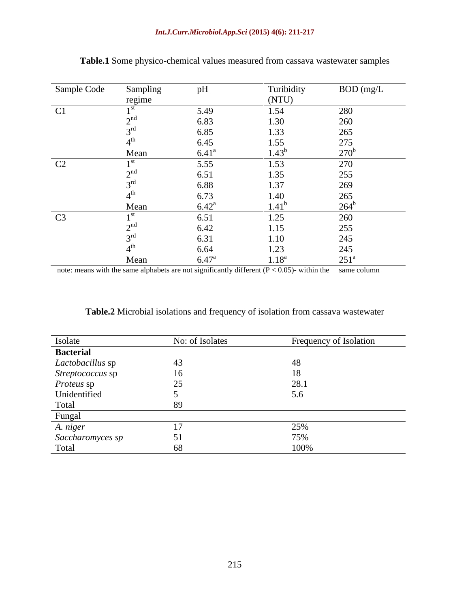| Sample Code    | Sampling | pH             | Turibidity | BOD (mg/L     |
|----------------|----------|----------------|------------|---------------|
|                | regime   |                | (NTU)      |               |
| C1             |          | 5.49           | 1.54       | 280           |
|                |          | 6.83           | 1.30       | 260           |
|                |          | 6.85           | 1.33       | 265           |
|                |          | 6.45           | 1.55       | 275           |
|                | Mean     | $6.41^{\circ}$ | $4.43^{b}$ | $270^t$       |
| C2             |          | 5.55           | 1.53       | 270           |
|                |          | 6.51           | 1.35       | 255           |
|                |          | 6.88           | 1.37       | 269           |
|                |          | 6.73           | 1.40       | 265           |
|                | Mean     | $6.42^{\circ}$ | 1.41       | 264           |
| C <sub>3</sub> |          | 6.51           | 1.25       | 260           |
|                |          | 6.42           | 1.15       | 255           |
|                |          | 6.31           | 1.10       | 245           |
|                |          | 6.64           | 1.23       | 245           |
|                | Mean     | $6.47^{\circ}$ | $1.18^{a}$ | $251^{\circ}$ |

**Table.1** Some physico-chemical values measured from cassava wastewater samples

note: means with the same alphabets are not significantly different  $(P < 0.05)$ - within the same column

| <b>Table.2</b> Microbial isolations and frequency of isolation from cassava wastewater |  |
|----------------------------------------------------------------------------------------|--|
|                                                                                        |  |

| Isolate           | No: of Isolates | Frequency of Isolation |
|-------------------|-----------------|------------------------|
| <b>Bacterial</b>  |                 |                        |
| Lactobacillus sp  |                 |                        |
| Streptococcus sp  |                 |                        |
| <i>Proteus</i> sp |                 |                        |
| Unidentified      |                 |                        |
| Total             |                 |                        |
| <b>Fungal</b>     |                 |                        |
| A. niger          |                 |                        |
| Saccharomyces sp  |                 |                        |
| Total             |                 | 100%                   |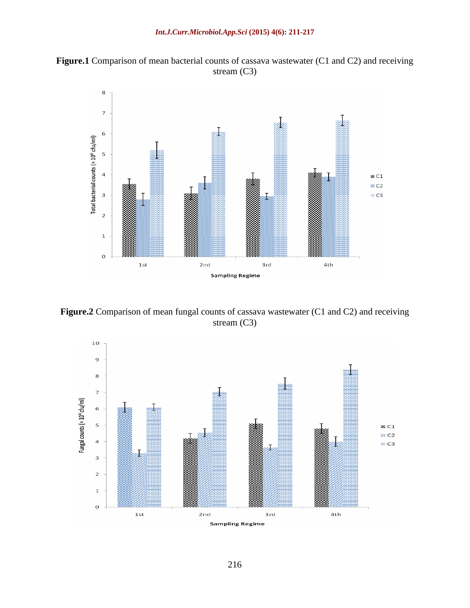



**Figure.2** Comparison of mean fungal counts of cassava wastewater (C1 and C2) and receiving stream (C3)